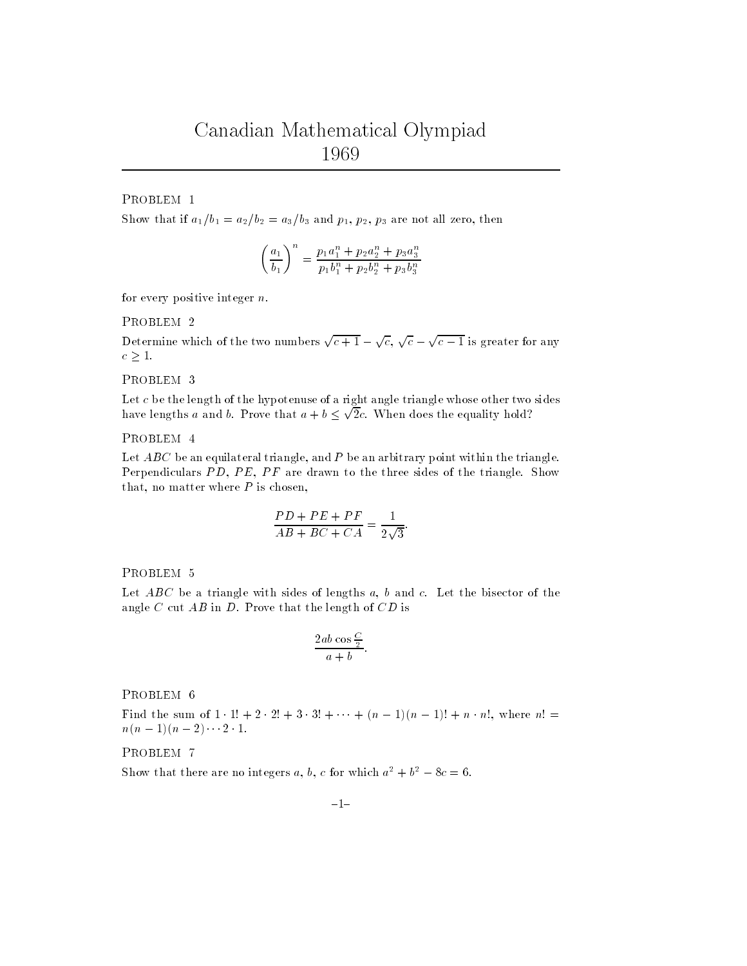# Canadian Mathematical Olympiad <sup>1969</sup>

PROBLEM <sup>1</sup>

Show that if  $a_1/v_1 = a_2/v_2 = a_3/v_3$  and  $p_1, p_2, p_3$  are not all zero, then

$$
\left(\frac{a_1}{b_1}\right)^n = \frac{p_1a_1^n + p_2a_2^n + p_3a_3^n}{p_1b_1^n + p_2b_2^n + p_3b_3^n}
$$

for every positive integer  $n$ .

## PROBLEM <sup>2</sup>

Determine which of the two numbers  $\sqrt{c+1} - \sqrt{c}$ ,  $\sqrt{c} - \sqrt{c-1}$  is greater for any  $c \geq 1$ .

#### PROBLEM <sup>3</sup>

Let c be the length of the hypotenuse of a right angle triangle whose other two sides have lengths a and b. Prove that  $a + b \leq \sqrt{2}c$ . When does the equality hold?

## PROBLEM <sup>4</sup>

Let  $AD$ C be an equilateral triangle, and P be an arbitrary point within the triangle.  $\blacksquare$ Perpendiculars  $P$ ,  $P$ ,  $P$ ,  $P$   $P$  are drawn to the three sides of the triangle. Show that, no matter where P is chosen,

$$
\frac{PD + PE + PF}{AB + BC + CA} = \frac{1}{2\sqrt{3}}.
$$

PROBLEM <sup>5</sup>

Let  $A$ DC be a triangle with sides of lengths  $a, b$  and  $c$ . Let the bisector of the  $\sim$ angle C cut  $AD$  in D. Those that the length of CD is

$$
\frac{2ab\cos\frac{C}{2}}{a+b}.
$$

PROBLEM <sup>6</sup>

Find the sum of 1 if  $\tau$  2 if 3  $\tau$  +  $\tau$  (n  $\tau$  1)(n  $\tau$  1)  $\tau$  n n, where  $n$  =  $n(n-1)(n-2)\cdots 2 \cdot 1.$ 

PROBLEM <sup>7</sup>

Show that there are no integers  $a, b, c$  for which  $a^- + b^- - \delta c = 0$ .